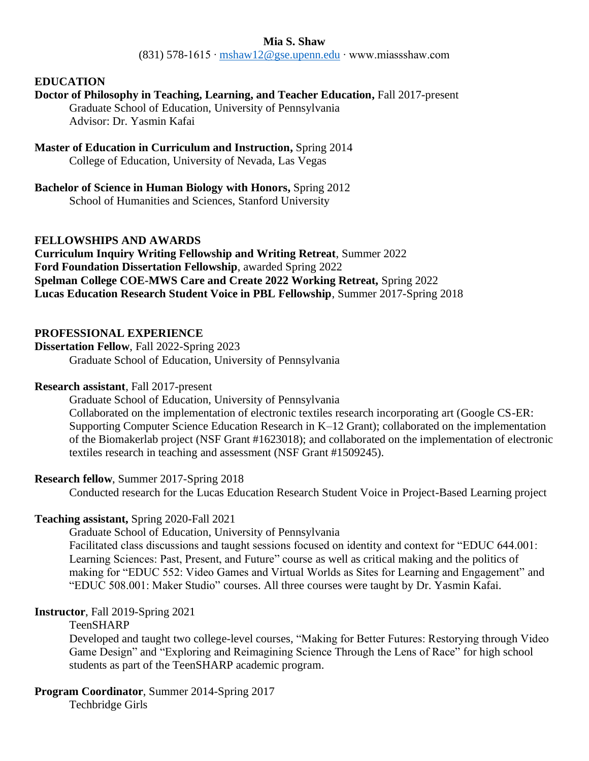## **Mia S. Shaw**

(831) 578-1615 ∙ [mshaw12@gse.upenn.edu](mailto:mshaw12@gse.upenn.edu) ∙ www.miassshaw.com

## **EDUCATION**

# **Doctor of Philosophy in Teaching, Learning, and Teacher Education,** Fall 2017-present

Graduate School of Education, University of Pennsylvania Advisor: Dr. Yasmin Kafai

**Master of Education in Curriculum and Instruction,** Spring 2014 College of Education, University of Nevada, Las Vegas

## **Bachelor of Science in Human Biology with Honors,** Spring 2012

School of Humanities and Sciences, Stanford University

## **FELLOWSHIPS AND AWARDS**

**Curriculum Inquiry Writing Fellowship and Writing Retreat**, Summer 2022 **Ford Foundation Dissertation Fellowship**, awarded Spring 2022 **Spelman College COE-MWS Care and Create 2022 Working Retreat,** Spring 2022 **Lucas Education Research Student Voice in PBL Fellowship**, Summer 2017-Spring 2018

## **PROFESSIONAL EXPERIENCE**

**Dissertation Fellow**, Fall 2022-Spring 2023 Graduate School of Education, University of Pennsylvania

#### **Research assistant**, Fall 2017-present

Graduate School of Education, University of Pennsylvania Collaborated on the implementation of electronic textiles research incorporating art (Google CS-ER: Supporting Computer Science Education Research in K–12 Grant); collaborated on the implementation of the Biomakerlab project (NSF Grant #1623018); and collaborated on the implementation of electronic textiles research in teaching and assessment (NSF Grant #1509245).

## **Research fellow**, Summer 2017-Spring 2018

Conducted research for the Lucas Education Research Student Voice in Project-Based Learning project

## **Teaching assistant,** Spring 2020-Fall 2021

Graduate School of Education, University of Pennsylvania Facilitated class discussions and taught sessions focused on identity and context for "EDUC 644.001: Learning Sciences: Past, Present, and Future" course as well as critical making and the politics of making for "EDUC 552: Video Games and Virtual Worlds as Sites for Learning and Engagement" and "EDUC 508.001: Maker Studio" courses. All three courses were taught by Dr. Yasmin Kafai.

## **Instructor**, Fall 2019-Spring 2021

## TeenSHARP

Developed and taught two college-level courses, "Making for Better Futures: Restorying through Video Game Design" and "Exploring and Reimagining Science Through the Lens of Race" for high school students as part of the TeenSHARP academic program.

## **Program Coordinator**, Summer 2014-Spring 2017

Techbridge Girls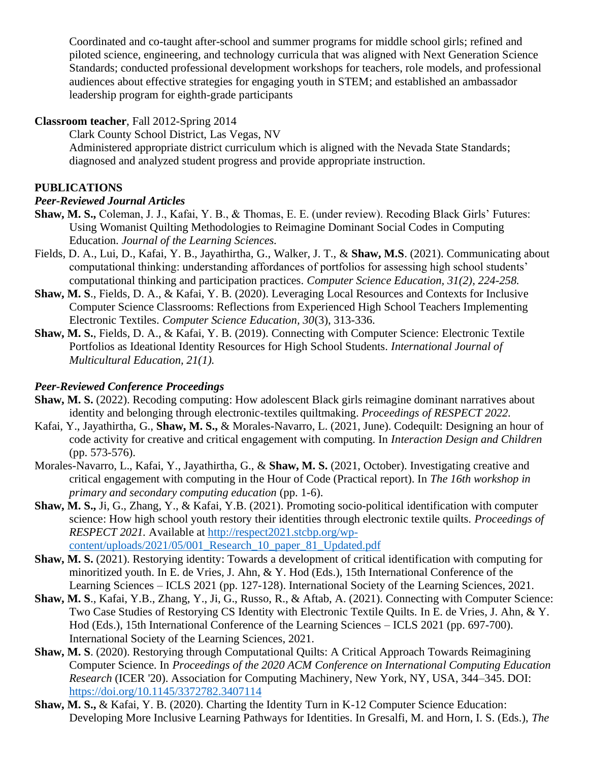Coordinated and co-taught after-school and summer programs for middle school girls; refined and piloted science, engineering, and technology curricula that was aligned with Next Generation Science Standards; conducted professional development workshops for teachers, role models, and professional audiences about effective strategies for engaging youth in STEM; and established an ambassador leadership program for eighth-grade participants

## **Classroom teacher**, Fall 2012-Spring 2014

Clark County School District, Las Vegas, NV

Administered appropriate district curriculum which is aligned with the Nevada State Standards; diagnosed and analyzed student progress and provide appropriate instruction.

# **PUBLICATIONS**

## *Peer-Reviewed Journal Articles*

- **Shaw, M. S.,** Coleman, J. J., Kafai, Y. B., & Thomas, E. E. (under review). Recoding Black Girls' Futures: Using Womanist Quilting Methodologies to Reimagine Dominant Social Codes in Computing Education. *Journal of the Learning Sciences.*
- Fields, D. A., Lui, D., Kafai, Y. B., Jayathirtha, G., Walker, J. T., & **Shaw, M.S**. (2021). Communicating about computational thinking: understanding affordances of portfolios for assessing high school students' computational thinking and participation practices. *Computer Science Education, 31(2), 224-258.*
- **Shaw, M. S**., Fields, D. A., & Kafai, Y. B. (2020). Leveraging Local Resources and Contexts for Inclusive Computer Science Classrooms: Reflections from Experienced High School Teachers Implementing Electronic Textiles. *Computer Science Education, 30*(3), 313-336.
- **Shaw, M. S.**, Fields, D. A., & Kafai, Y. B. (2019). Connecting with Computer Science: Electronic Textile Portfolios as Ideational Identity Resources for High School Students. *International Journal of Multicultural Education, 21(1).*

# *Peer-Reviewed Conference Proceedings*

- **Shaw, M. S.** (2022). Recoding computing: How adolescent Black girls reimagine dominant narratives about identity and belonging through electronic-textiles quiltmaking. *Proceedings of RESPECT 2022.*
- Kafai, Y., Jayathirtha, G., **Shaw, M. S.,** & Morales-Navarro, L. (2021, June). Codequilt: Designing an hour of code activity for creative and critical engagement with computing. In *Interaction Design and Children* (pp. 573-576).
- Morales-Navarro, L., Kafai, Y., Jayathirtha, G., & **Shaw, M. S.** (2021, October). Investigating creative and critical engagement with computing in the Hour of Code (Practical report). In *The 16th workshop in primary and secondary computing education* (pp. 1-6).
- **Shaw, M. S.,** Ji, G., Zhang, Y., & Kafai, Y.B. (2021). Promoting socio-political identification with computer science: How high school youth restory their identities through electronic textile quilts. *Proceedings of RESPECT 2021.* Available at [http://respect2021.stcbp.org/wp](http://respect2021.stcbp.org/wp-content/uploads/2021/05/001_Research_10_paper_81_Updated.pdf)content/uploads/2021/05/001 Research 10 paper 81 Updated.pdf
- **Shaw, M. S.** (2021). Restorying identity: Towards a development of critical identification with computing for minoritized youth. In E. de Vries, J. Ahn, & Y. Hod (Eds.), 15th International Conference of the Learning Sciences – ICLS 2021 (pp. 127-128). International Society of the Learning Sciences, 2021.
- **Shaw, M. S**., Kafai, Y.B., Zhang, Y., Ji, G., Russo, R., & Aftab, A. (2021). Connecting with Computer Science: Two Case Studies of Restorying CS Identity with Electronic Textile Quilts. In E. de Vries, J. Ahn, & Y. Hod (Eds.), 15th International Conference of the Learning Sciences – ICLS 2021 (pp. 697-700). International Society of the Learning Sciences, 2021.
- **Shaw, M. S**. (2020). Restorying through Computational Quilts: A Critical Approach Towards Reimagining Computer Science. In *Proceedings of the 2020 ACM Conference on International Computing Education Research* (ICER '20). Association for Computing Machinery, New York, NY, USA, 344–345. DOI: <https://doi.org/10.1145/3372782.3407114>
- **Shaw, M. S.,** & Kafai, Y. B. (2020). Charting the Identity Turn in K-12 Computer Science Education: Developing More Inclusive Learning Pathways for Identities. In Gresalfi, M. and Horn, I. S. (Eds.), *The*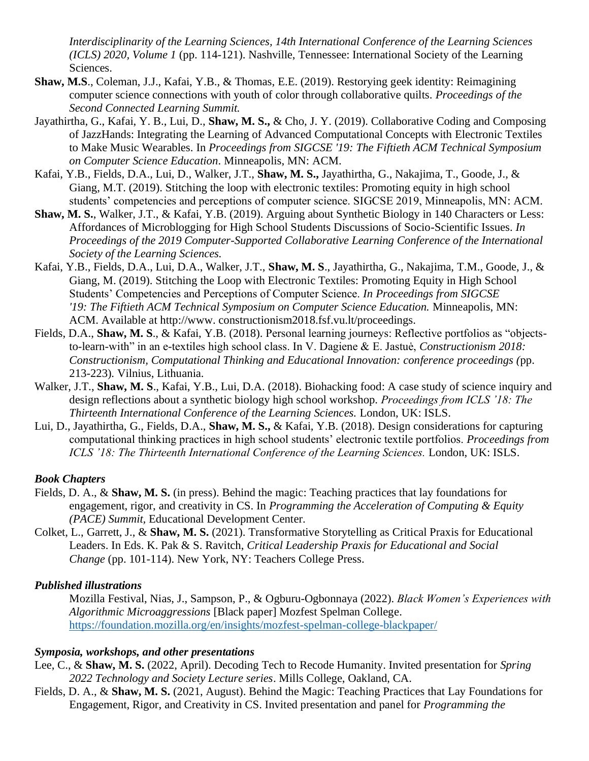*Interdisciplinarity of the Learning Sciences, 14th International Conference of the Learning Sciences (ICLS) 2020, Volume 1* (pp. 114-121). Nashville, Tennessee: International Society of the Learning Sciences.

- **Shaw, M.S**., Coleman, J.J., Kafai, Y.B., & Thomas, E.E. (2019). Restorying geek identity: Reimagining computer science connections with youth of color through collaborative quilts. *Proceedings of the Second Connected Learning Summit.*
- Jayathirtha, G., Kafai, Y. B., Lui, D., **Shaw, M. S.,** & Cho, J. Y. (2019). Collaborative Coding and Composing of JazzHands: Integrating the Learning of Advanced Computational Concepts with Electronic Textiles to Make Music Wearables. In *Proceedings from SIGCSE '19: The Fiftieth ACM Technical Symposium on Computer Science Education*. Minneapolis, MN: ACM.
- Kafai, Y.B., Fields, D.A., Lui, D., Walker, J.T., **Shaw, M. S.,** Jayathirtha, G., Nakajima, T., Goode, J., & Giang, M.T. (2019). Stitching the loop with electronic textiles: Promoting equity in high school students' competencies and perceptions of computer science. SIGCSE 2019, Minneapolis, MN: ACM.
- **Shaw, M. S.**, Walker, J.T., & Kafai, Y.B. (2019). Arguing about Synthetic Biology in 140 Characters or Less: Affordances of Microblogging for High School Students Discussions of Socio-Scientific Issues. *In Proceedings of the 2019 Computer-Supported Collaborative Learning Conference of the International Society of the Learning Sciences.*
- Kafai, Y.B., Fields, D.A., Lui, D.A., Walker, J.T., **Shaw, M. S**., Jayathirtha, G., Nakajima, T.M., Goode, J., & Giang, M. (2019). Stitching the Loop with Electronic Textiles: Promoting Equity in High School Students' Competencies and Perceptions of Computer Science. *In Proceedings from SIGCSE '19: The Fiftieth ACM Technical Symposium on Computer Science Education.* Minneapolis, MN: ACM. Available at http://www. constructionism2018.fsf.vu.lt/proceedings.
- Fields, D.A., **Shaw, M. S**., & Kafai, Y.B. (2018). Personal learning journeys: Reflective portfolios as "objectsto-learn-with" in an e-textiles high school class. In V. Dagiene & E. Jastuė, *Constructionism 2018: Constructionism, Computational Thinking and Educational Innovation: conference proceedings (*pp. 213-223)*.* Vilnius, Lithuania.
- Walker, J.T., **Shaw, M. S.**, Kafai, Y.B., Lui, D.A. (2018). Biohacking food: A case study of science inquiry and design reflections about a synthetic biology high school workshop. *Proceedings from ICLS '18: The Thirteenth International Conference of the Learning Sciences.* London, UK: ISLS.
- Lui, D., Jayathirtha, G., Fields, D.A., **Shaw, M. S.,** & Kafai, Y.B. (2018). Design considerations for capturing computational thinking practices in high school students' electronic textile portfolios. *Proceedings from ICLS '18: The Thirteenth International Conference of the Learning Sciences.* London, UK: ISLS.

#### *Book Chapters*

- Fields, D. A., & **Shaw, M. S.** (in press). Behind the magic: Teaching practices that lay foundations for engagement, rigor, and creativity in CS. In *Programming the Acceleration of Computing & Equity (PACE) Summit,* Educational Development Center.
- Colket, L., Garrett, J., & **Shaw, M. S.** (2021). Transformative Storytelling as Critical Praxis for Educational Leaders. In Eds. K. Pak & S. Ravitch, *Critical Leadership Praxis for Educational and Social Change* (pp. 101-114). New York, NY: Teachers College Press.

## *Published illustrations*

Mozilla Festival, Nias, J., Sampson, P., & Ogburu-Ogbonnaya (2022). *Black Women's Experiences with Algorithmic Microaggressions* [Black paper] Mozfest Spelman College. <https://foundation.mozilla.org/en/insights/mozfest-spelman-college-blackpaper/>

## *Symposia, workshops, and other presentations*

- Lee, C., & **Shaw, M. S.** (2022, April). Decoding Tech to Recode Humanity. Invited presentation for *Spring 2022 Technology and Society Lecture series*. Mills College, Oakland, CA.
- Fields, D. A., & **Shaw, M. S.** (2021, August). Behind the Magic: Teaching Practices that Lay Foundations for Engagement, Rigor, and Creativity in CS. Invited presentation and panel for *Programming the*